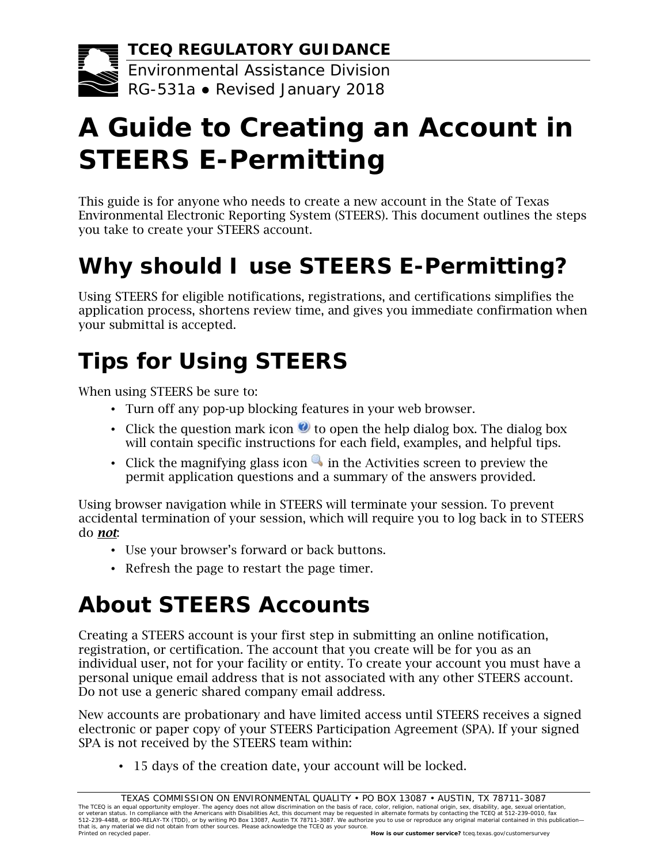**TCEQ REGULATORY GUIDANCE**

Environmental Assistance Division RG-531a ● Revised January 2018

# **A Guide to Creating an Account in STEERS E-Permitting**

This guide is for anyone who needs to create a new account in the State of Texas Environmental Electronic Reporting System (STEERS). This document outlines the steps you take to create your STEERS account.

# **Why should I use STEERS E-Permitting?**

Using STEERS for eligible notifications, registrations, and certifications simplifies the application process, shortens review time, and gives you immediate confirmation when your submittal is accepted.

# **Tips for Using STEERS**

When using STEERS be sure to:

- Turn off any pop-up blocking features in your web browser.
- Click the question mark icon  $\bullet$  to open the help dialog box. The dialog box will contain specific instructions for each field, examples, and helpful tips.
- Click the magnifying glass icon  $\bullet$  in the Activities screen to preview the permit application questions and a summary of the answers provided.

Using browser navigation while in STEERS will terminate your session. To prevent accidental termination of your session, which will require you to log back in to STEERS do *not*:

- Use your browser's forward or back buttons.
- Refresh the page to restart the page timer.

# **About STEERS Accounts**

Creating a STEERS account is your first step in submitting an online notification, registration, or certification. The account that you create will be for you as an individual user, not for your facility or entity. To create your account you must have a personal unique email address that is not associated with any other STEERS account. Do not use a generic shared company email address.

New accounts are probationary and have limited access until STEERS receives a signed electronic or paper copy of your STEERS Participation Agreement (SPA). If your signed SPA is not received by the STEERS team within:

• 15 days of the creation date, your account will be locked.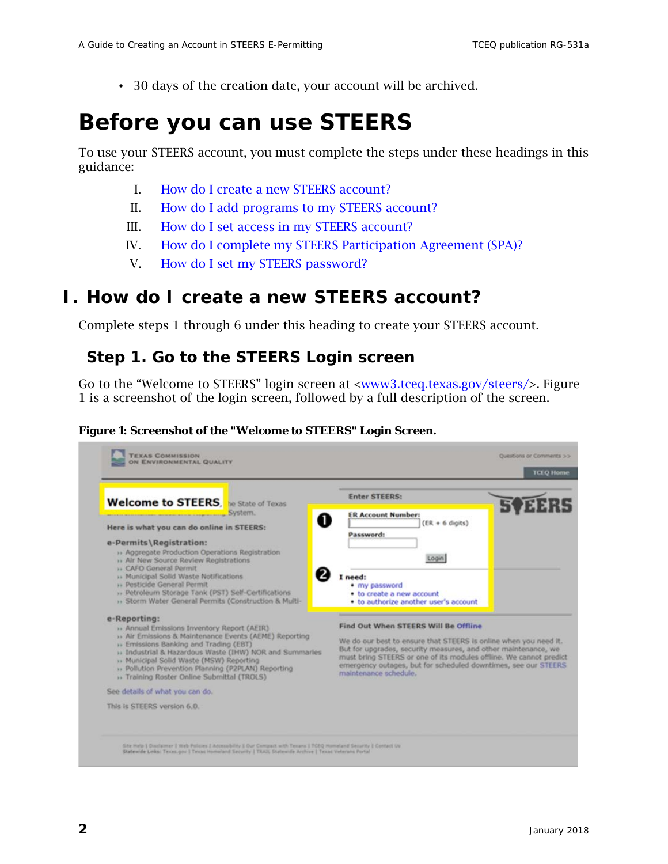• 30 days of the creation date, your account will be archived.

## **Before you can use STEERS**

To use your STEERS account, you must complete the steps under these headings in this guidance:

- I. [How do I create a new STEERS account?](#page-1-0)
- II. [How do I add programs to my STEERS account?](#page-7-0)
- III. [How do I set access in my STEERS account?](#page-9-0)
- IV. [How do I complete my STEERS Participation Agreement \(SPA\)?](#page-11-0)
- V. [How do I set my STEERS password?](#page-16-0)

## <span id="page-1-0"></span>**I. How do I create a new STEERS account?**

Complete steps 1 through 6 under this heading to create your STEERS account.

### *Step 1. Go to the STEERS Login screen*

Go to the "Welcome to STEERS" login screen at [<www3.tceq.texas.gov/steers/>](https://www3.tceq.texas.gov/steers/). Figure 1 is a screenshot of the login screen, followed by a full description of the screen.

#### **Figure 1: Screenshot of the "Welcome to STEERS" Login Screen.**

| <b>Welcome to STEERS</b> , he State of Texas                                                                                                                                                                                                                                                                                                           | <b>Enter STEERS:</b>                                                                                                                                                                                                                                                                                                                        |  |
|--------------------------------------------------------------------------------------------------------------------------------------------------------------------------------------------------------------------------------------------------------------------------------------------------------------------------------------------------------|---------------------------------------------------------------------------------------------------------------------------------------------------------------------------------------------------------------------------------------------------------------------------------------------------------------------------------------------|--|
| System.<br>O                                                                                                                                                                                                                                                                                                                                           | <b>ER Account Number:</b>                                                                                                                                                                                                                                                                                                                   |  |
| Here is what you can do online in STEERS:                                                                                                                                                                                                                                                                                                              | $(ER + 6 \text{ digits})$<br>Password:                                                                                                                                                                                                                                                                                                      |  |
| e-Permits\Registration:<br>» Aggregate Production Operations Registration<br>» Air New Source Review Registrations<br>» CAFO General Permit                                                                                                                                                                                                            | Login                                                                                                                                                                                                                                                                                                                                       |  |
| » Municipal Solid Waste Notifications                                                                                                                                                                                                                                                                                                                  | I need:                                                                                                                                                                                                                                                                                                                                     |  |
| » Pesticide General Permit<br>» Petroleum Storage Tank (PST) Self-Certifications                                                                                                                                                                                                                                                                       | · my password<br>. to create a new account                                                                                                                                                                                                                                                                                                  |  |
| » Storm Water General Permits (Construction & Multi-                                                                                                                                                                                                                                                                                                   | . to authorize another user's account                                                                                                                                                                                                                                                                                                       |  |
| e-Reporting:                                                                                                                                                                                                                                                                                                                                           |                                                                                                                                                                                                                                                                                                                                             |  |
| » Annual Emissions Inventory Report (AEIR)<br>» Air Emissions & Maintenance Events (AEME) Reporting<br>» Emissions Banking and Trading (EBT).<br>» Industrial & Hazardous Waste (IHW) NOR and Summaries<br>» Municipal Solid Waste (MSW) Reporting<br>» Pollution Prevention Planning (P2PLAN) Reporting<br>» Training Roster Online Submittal (TROLS) | Find Out When STEERS Will Be Offline<br>We do our best to ensure that STEERS is online when you need it.<br>But for upgrades, security measures, and other maintenance, we<br>must bring STEERS or one of its modules offline. We cannot predict<br>emergency outages, but for scheduled downtimes, see our STEERS<br>maintenance schedule. |  |
| See details of what you can do.                                                                                                                                                                                                                                                                                                                        |                                                                                                                                                                                                                                                                                                                                             |  |
| This is STEERS version 6.0.                                                                                                                                                                                                                                                                                                                            |                                                                                                                                                                                                                                                                                                                                             |  |
|                                                                                                                                                                                                                                                                                                                                                        |                                                                                                                                                                                                                                                                                                                                             |  |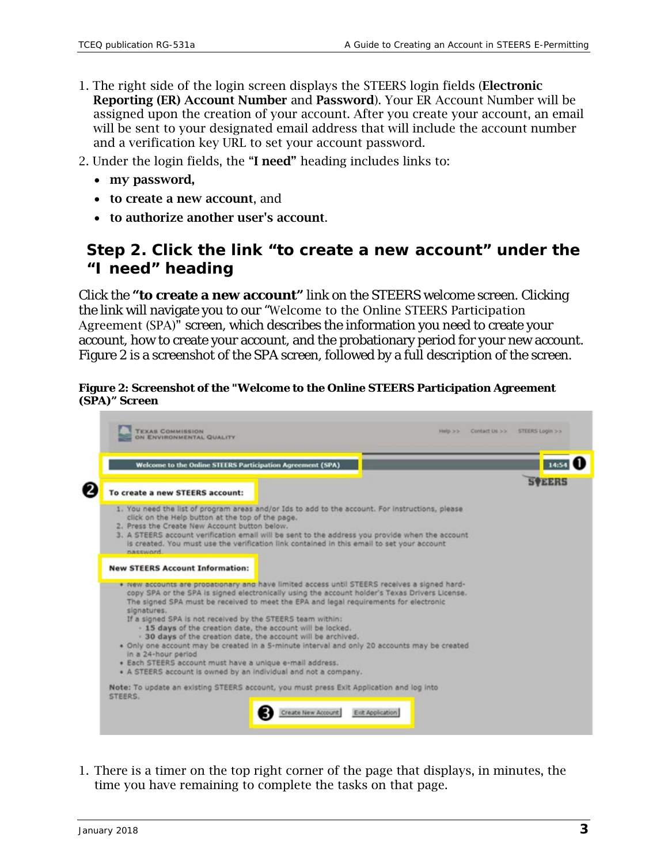- 1. The right side of the login screen displays the STEERS login fields (Electronic Reporting (ER) Account Number and Password). Your ER Account Number will be assigned upon the creation of your account. After you create your account, an email will be sent to your designated email address that will include the account number and a verification key URL to set your account password.
- 2. Under the login fields, the "I need" heading includes links to:
	- my password,
	- to create a new account, and
	- to authorize another user's account.

## *Step 2. Click the link "to create a new account" under the "I need" heading*

Click the **"to create a new account"** link on the STEERS welcome screen. Clicking the link will navigate you to our "Welcome to the Online STEERS Participation Agreement (SPA)" screen, which describes the information you need to create your account, how to create your account, and the probationary period for your new account. Figure 2 is a screenshot of the SPA screen, followed by a full description of the screen.

#### **Figure 2: Screenshot of the "Welcome to the Online STEERS Participation Agreement (SPA)" Screen**



1. There is a timer on the top right corner of the page that displays, in minutes, the time you have remaining to complete the tasks on that page.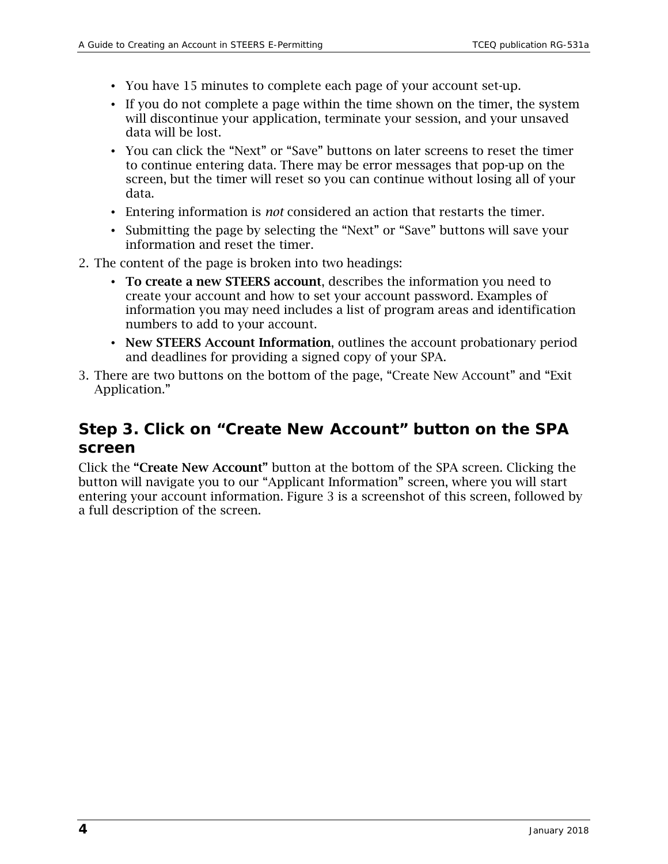- You have 15 minutes to complete each page of your account set-up.
- If you do not complete a page within the time shown on the timer, the system will discontinue your application, terminate your session, and your unsaved data will be lost.
- You can click the "Next" or "Save" buttons on later screens to reset the timer to continue entering data. There may be error messages that pop-up on the screen, but the timer will reset so you can continue without losing all of your data.
- Entering information is *not* considered an action that restarts the timer.
- Submitting the page by selecting the "Next" or "Save" buttons will save your information and reset the timer.
- 2. The content of the page is broken into two headings:
	- To create a new STEERS account, describes the information you need to create your account and how to set your account password. Examples of information you may need includes a list of program areas and identification numbers to add to your account.
	- New STEERS Account Information, outlines the account probationary period and deadlines for providing a signed copy of your SPA.
- 3. There are two buttons on the bottom of the page, "Create New Account" and "Exit Application."

## *Step 3. Click on "Create New Account" button on the SPA screen*

Click the "Create New Account" button at the bottom of the SPA screen. Clicking the button will navigate you to our "Applicant Information" screen, where you will start entering your account information. Figure 3 is a screenshot of this screen, followed by a full description of the screen.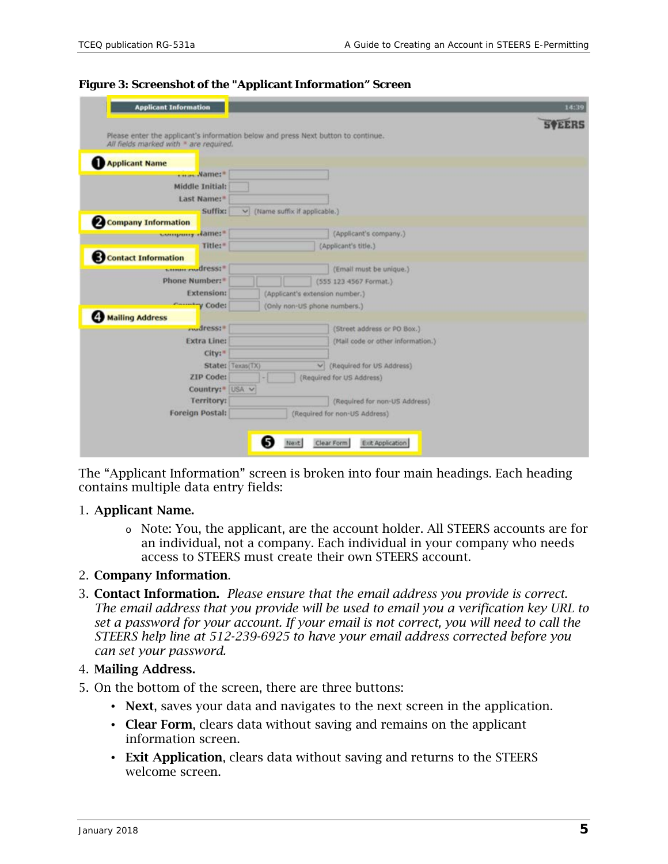|                                                                                                                             |                                     |                                   | <b>SVEERS</b> |
|-----------------------------------------------------------------------------------------------------------------------------|-------------------------------------|-----------------------------------|---------------|
| Please enter the applicant's information below and press Next button to continue.<br>All fields marked with * are required. |                                     |                                   |               |
| <b>Applicant Name</b>                                                                                                       |                                     |                                   |               |
| ****** Name:*                                                                                                               |                                     |                                   |               |
| Middle Initial:                                                                                                             |                                     |                                   |               |
| Last Name:"                                                                                                                 |                                     |                                   |               |
| Suffix:                                                                                                                     | $\vee$ (Name suffix if applicable.) |                                   |               |
| <b>2 Company Information</b>                                                                                                |                                     |                                   |               |
| www.youry.dame:"                                                                                                            |                                     | (Applicant's company.)            |               |
| Title:"                                                                                                                     |                                     | (Applicant's title.)              |               |
| <b>Contact Information</b>                                                                                                  |                                     |                                   |               |
| samme evedress:"                                                                                                            |                                     | (Email must be unique.)           |               |
| Phone Number: <sup>*</sup>                                                                                                  |                                     | (555 123 4567 Format.)            |               |
| <b>Extension:</b>                                                                                                           | (Applicant's extension number.)     |                                   |               |
| Country Code:                                                                                                               | (Only non-US phone numbers.)        |                                   |               |
| Mailing Address                                                                                                             |                                     |                                   |               |
| mudress:#                                                                                                                   |                                     | (Street address or PO Box.)       |               |
| <b>Extra Line:</b>                                                                                                          |                                     | (Mail code or other information.) |               |
| City:                                                                                                                       |                                     |                                   |               |
|                                                                                                                             | State: Texas(TX)<br>V)              | (Required for US Address)         |               |
| <b>ZIP Code:</b>                                                                                                            |                                     | (Required for US Address)         |               |
| Country: USA v                                                                                                              |                                     |                                   |               |
| Territory:                                                                                                                  |                                     | (Required for non-US Address)     |               |
| <b>Foreign Postal:</b>                                                                                                      |                                     | (Required for non-US Address)     |               |

#### **Figure 3: Screenshot of the "Applicant Information" Screen**

The "Applicant Information" screen is broken into four main headings. Each heading contains multiple data entry fields:

#### 1. Applicant Name.

o Note: You, the applicant, are the account holder. All STEERS accounts are for an individual, not a company. Each individual in your company who needs access to STEERS must create their own STEERS account.

#### 2. Company Information.

3. Contact Information. *Please ensure that the email address you provide is correct. The email address that you provide will be used to email you a verification key URL to set a password for your account. If your email is not correct, you will need to call the STEERS help line at 512-239-6925 to have your email address corrected before you can set your password.*

#### 4. Mailing Address.

- 5. On the bottom of the screen, there are three buttons:
	- Next, saves your data and navigates to the next screen in the application.
	- Clear Form, clears data without saving and remains on the applicant information screen.
	- Exit Application, clears data without saving and returns to the STEERS welcome screen.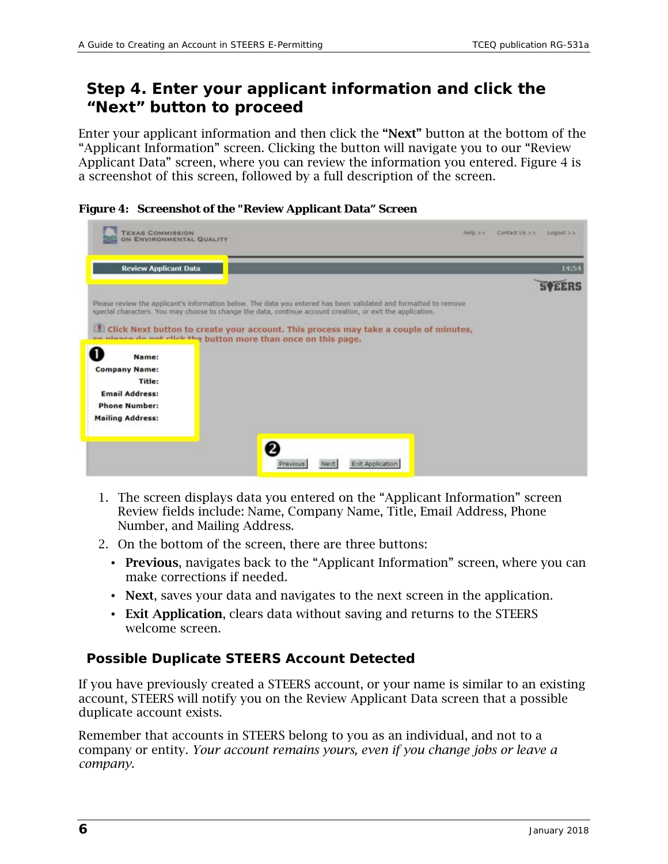## *Step 4. Enter your applicant information and click the "Next" button to proceed*

Enter your applicant information and then click the "Next" button at the bottom of the "Applicant Information" screen. Clicking the button will navigate you to our "Review Applicant Data" screen, where you can review the information you entered. Figure 4 is a screenshot of this screen, followed by a full description of the screen.

| <b>TEXAS COMMISSION</b><br>ON ENVIRONMENTAL QUALITY            | Help'>><br>Contact Us >><br>$L00000t \geq 2$                                                                                                                                                                                   |
|----------------------------------------------------------------|--------------------------------------------------------------------------------------------------------------------------------------------------------------------------------------------------------------------------------|
| <b>Review Applicant Data</b>                                   | 14:54                                                                                                                                                                                                                          |
|                                                                |                                                                                                                                                                                                                                |
|                                                                | Please review the applicant's information below. The data you entered has been validated and formatted to remove<br>special characters. You may choose to change the data, continue account creation, or exit the application. |
|                                                                | El Click Next button to create your account. This process may take a couple of minutes,                                                                                                                                        |
| co planes do not click the button more than once on this page. |                                                                                                                                                                                                                                |
| Name:                                                          |                                                                                                                                                                                                                                |
| <b>Company Name:</b><br>Title:                                 |                                                                                                                                                                                                                                |
| <b>Email Address:</b>                                          |                                                                                                                                                                                                                                |
| <b>Phone Number:</b>                                           |                                                                                                                                                                                                                                |
| <b>Mailing Address:</b>                                        |                                                                                                                                                                                                                                |
|                                                                |                                                                                                                                                                                                                                |
|                                                                |                                                                                                                                                                                                                                |
|                                                                | Exit Application<br>Previous<br>Next                                                                                                                                                                                           |

- 1. The screen displays data you entered on the "Applicant Information" screen Review fields include: Name, Company Name, Title, Email Address, Phone Number, and Mailing Address.
- 2. On the bottom of the screen, there are three buttons:
	- Previous, navigates back to the "Applicant Information" screen, where you can make corrections if needed.
	- Next, saves your data and navigates to the next screen in the application.
	- Exit Application, clears data without saving and returns to the STEERS welcome screen.

#### **Possible Duplicate STEERS Account Detected**

If you have previously created a STEERS account, or your name is similar to an existing account, STEERS will notify you on the Review Applicant Data screen that a possible duplicate account exists.

Remember that accounts in STEERS belong to you as an individual, and not to a company or entity. *Your account remains yours, even if you change jobs or leave a company.*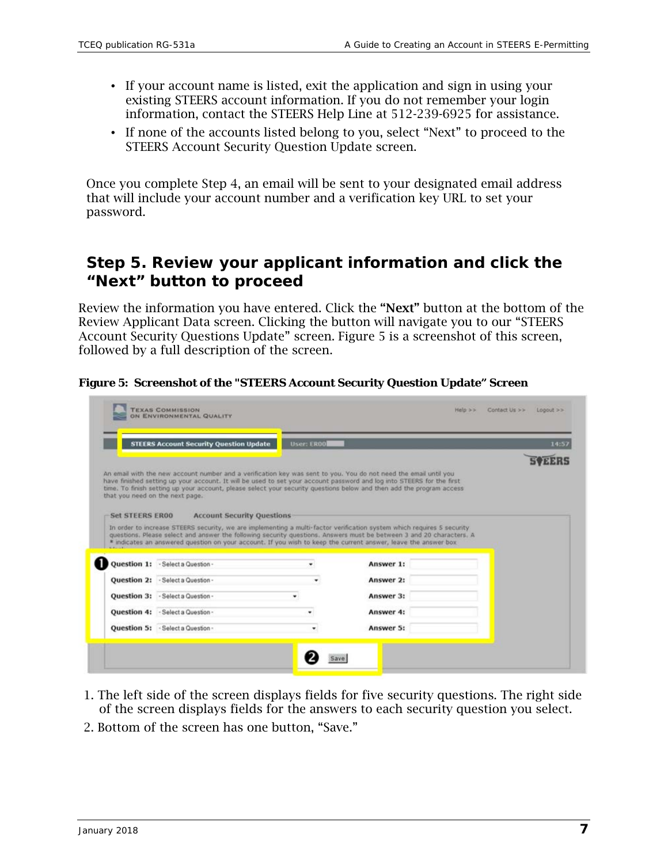- If your account name is listed, exit the application and sign in using your existing STEERS account information. If you do not remember your login information, contact the STEERS Help Line at 512-239-6925 for assistance.
- If none of the accounts listed belong to you, select "Next" to proceed to the STEERS Account Security Question Update screen.

Once you complete Step 4, an email will be sent to your designated email address that will include your account number and a verification key URL to set your password.

## *Step 5. Review your applicant information and click the "Next" button to proceed*

Review the information you have entered. Click the "Next" button at the bottom of the Review Applicant Data screen. Clicking the button will navigate you to our "STEERS Account Security Questions Update" screen. Figure 5 is a screenshot of this screen, followed by a full description of the screen.

**Figure 5: Screenshot of the "STEERS Account Security Question Update" Screen** 

|                        | <b>STEERS Account Security Question Update</b> | <b>User: ER00</b> |                                                                                                                                                                                                                                               | 14:57 |
|------------------------|------------------------------------------------|-------------------|-----------------------------------------------------------------------------------------------------------------------------------------------------------------------------------------------------------------------------------------------|-------|
|                        |                                                |                   |                                                                                                                                                                                                                                               |       |
|                        |                                                |                   | An email with the new account number and a verification key was sent to you. You do not need the email until you                                                                                                                              |       |
|                        |                                                |                   | have finished setting up your account. It will be used to set your account password and log into STEERS for the first<br>time. To finish setting up your account, please select your security questions below and then add the program access |       |
|                        | that you need on the next page.                |                   |                                                                                                                                                                                                                                               |       |
|                        |                                                |                   |                                                                                                                                                                                                                                               |       |
| <b>Set STEERS ER00</b> | <b>Account Security Questions</b>              |                   |                                                                                                                                                                                                                                               |       |
|                        |                                                |                   | In order to increase STEERS security, we are implementing a multi-factor verification system which requires S security                                                                                                                        |       |
|                        |                                                |                   | questions. Please select and answer the following security questions. Answers must be between 3 and 20 characters. A                                                                                                                          |       |
|                        |                                                |                   | * indicates an answered question on your account. If you wish to keep the current answer, leave the answer box                                                                                                                                |       |
|                        |                                                |                   |                                                                                                                                                                                                                                               |       |
|                        | Question 1: - Select a Question -              |                   | Answer 1:                                                                                                                                                                                                                                     |       |
|                        | Question 2: - Select a Question -              |                   | Answer 2:                                                                                                                                                                                                                                     |       |
|                        |                                                |                   |                                                                                                                                                                                                                                               |       |
|                        | <b>Ouestion 3: - Select a Question -</b>       |                   | Answer 3:                                                                                                                                                                                                                                     |       |
|                        | Question 4: · Select a Question -              |                   | Answer 4:                                                                                                                                                                                                                                     |       |
|                        | Question 5: - Select a Question -              |                   | Answer 5:                                                                                                                                                                                                                                     |       |

- 1. The left side of the screen displays fields for five security questions. The right side of the screen displays fields for the answers to each security question you select.
- 2. Bottom of the screen has one button, "Save."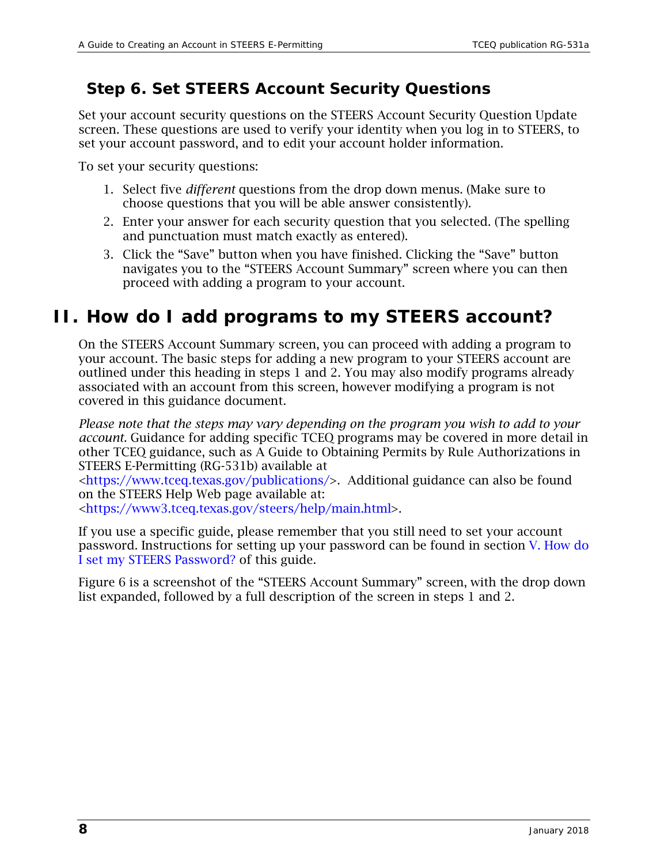## *Step 6. Set STEERS Account Security Questions*

Set your account security questions on the STEERS Account Security Question Update screen. These questions are used to verify your identity when you log in to STEERS, to set your account password, and to edit your account holder information.

To set your security questions:

- 1. Select five *different* questions from the drop down menus. (Make sure to choose questions that you will be able answer consistently).
- 2. Enter your answer for each security question that you selected. (The spelling and punctuation must match exactly as entered).
- 3. Click the "Save" button when you have finished. Clicking the "Save" button navigates you to the "STEERS Account Summary" screen where you can then proceed with adding a program to your account.

## <span id="page-7-0"></span>**II. How do I add programs to my STEERS account?**

On the STEERS Account Summary screen, you can proceed with adding a program to your account. The basic steps for adding a new program to your STEERS account are outlined under this heading in steps 1 and 2. You may also modify programs already associated with an account from this screen, however modifying a program is not covered in this guidance document.

*Please note that the steps may vary depending on the program you wish to add to your account.* Guidance for adding specific TCEQ programs may be covered in more detail in other TCEQ guidance, such as A Guide to Obtaining Permits by Rule Authorizations in STEERS E-Permitting (RG-531b) available at

[<https://www.tceq.texas.gov/publications/>](https://www.tceq.texas.gov/publications/). Additional guidance can also be found on the STEERS Help Web page available at:

[<https://www3.tceq.texas.gov/steers/help/main.html>](https://www3.tceq.texas.gov/steers/help/main.html).

If you use a specific guide, please remember that you still need to set your account password. Instructions for setting up your password can be found in section [V. How do](#page-16-0)  [I set my STEERS Password? o](#page-16-0)f this guide.

Figure 6 is a screenshot of the "STEERS Account Summary" screen, with the drop down list expanded, followed by a full description of the screen in steps 1 and 2.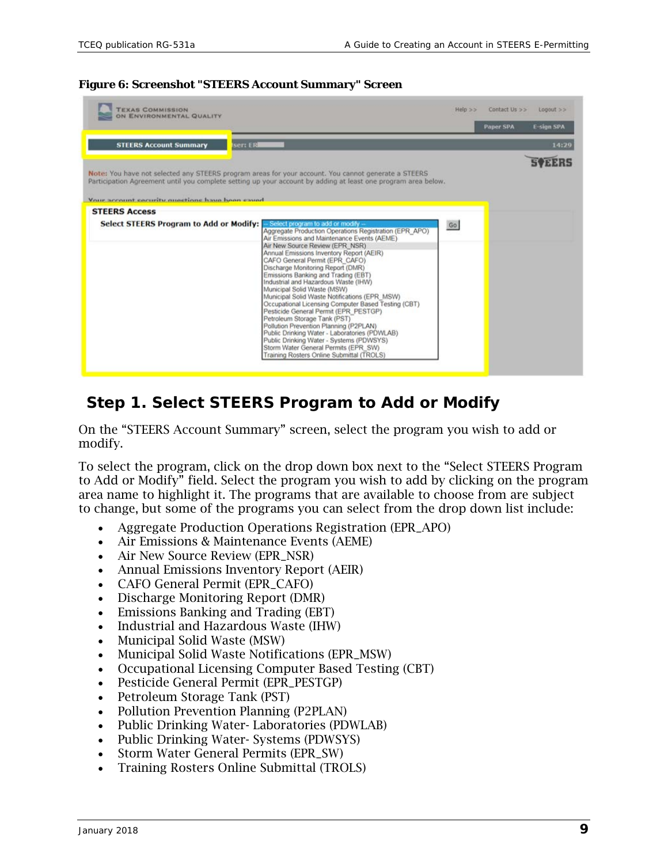| <b>TEXAS COMMISSION</b><br>ON ENVIRONMENTAL QUALITY                     |                                                                                                                                                                                                                                                                                                                                                                                                                                                                                                                                                                                                                                                                                                                                                                                                                             | $Heip \gg$ | Contact Us >>    | $Logout$ $>$      |
|-------------------------------------------------------------------------|-----------------------------------------------------------------------------------------------------------------------------------------------------------------------------------------------------------------------------------------------------------------------------------------------------------------------------------------------------------------------------------------------------------------------------------------------------------------------------------------------------------------------------------------------------------------------------------------------------------------------------------------------------------------------------------------------------------------------------------------------------------------------------------------------------------------------------|------------|------------------|-------------------|
|                                                                         |                                                                                                                                                                                                                                                                                                                                                                                                                                                                                                                                                                                                                                                                                                                                                                                                                             |            | <b>Paper SPA</b> | <b>E-sign SPA</b> |
| <b>STEERS Account Summary</b><br>ser: ERI                               |                                                                                                                                                                                                                                                                                                                                                                                                                                                                                                                                                                                                                                                                                                                                                                                                                             |            |                  | 14:29             |
|                                                                         | Note: You have not selected any STEERS program areas for your account. You cannot generate a STEERS<br>Participation Agreement until you complete setting up your account by adding at least one program area below.                                                                                                                                                                                                                                                                                                                                                                                                                                                                                                                                                                                                        |            |                  |                   |
| Your account cacurity musclinns have been caved<br><b>STEERS Access</b> |                                                                                                                                                                                                                                                                                                                                                                                                                                                                                                                                                                                                                                                                                                                                                                                                                             |            |                  |                   |
| Select STEERS Program to Add or Modify:                                 | - Select program to add or modify<br>Aggregate Production Operations Registration (EPR_APO)<br>Air Emissions and Maintenance Events (AEME)<br>Air New Source Review (EPR NSR)<br>Annual Emissions Inventory Report (AEIR)<br>CAFO General Permit (EPR CAFO)<br>Discharge Monitoring Report (DMR)<br>Emissions Banking and Trading (EBT)<br>Industrial and Hazardous Waste (IHW)<br>Municipal Solid Waste (MSW)<br>Municipal Solid Waste Notifications (EPR MSW)<br>Occupational Licensing Computer Based Testing (CBT)<br>Pesticide General Permit (EPR_PESTGP)<br>Petroleum Storage Tank (PST)<br>Pollution Prevention Planning (P2PLAN)<br>Public Drinking Water - Laboratories (PDWLAB)<br>Public Drinking Water - Systems (PDWSYS)<br>Storm Water General Permits (EPR SW)<br>Training Rosters Online Submittal (TROLS) | Go         |                  |                   |

#### **Figure 6: Screenshot "STEERS Account Summary" Screen**

## *Step 1. Select STEERS Program to Add or Modify*

On the "STEERS Account Summary" screen, select the program you wish to add or modify.

To select the program, click on the drop down box next to the "Select STEERS Program to Add or Modify" field. Select the program you wish to add by clicking on the program area name to highlight it. The programs that are available to choose from are subject to change, but some of the programs you can select from the drop down list include:

- Aggregate Production Operations Registration (EPR\_APO)
- Air Emissions & Maintenance Events (AEME)
- Air New Source Review (EPR\_NSR)
- Annual Emissions Inventory Report (AEIR)
- CAFO General Permit (EPR\_CAFO)
- Discharge Monitoring Report (DMR)
- Emissions Banking and Trading (EBT)
- Industrial and Hazardous Waste (IHW)
- Municipal Solid Waste (MSW)
- Municipal Solid Waste Notifications (EPR\_MSW)
- Occupational Licensing Computer Based Testing (CBT)
- Pesticide General Permit (EPR\_PESTGP)
- Petroleum Storage Tank (PST)
- Pollution Prevention Planning (P2PLAN)
- Public Drinking Water- Laboratories (PDWLAB)
- Public Drinking Water- Systems (PDWSYS)
- Storm Water General Permits (EPR\_SW)
- Training Rosters Online Submittal (TROLS)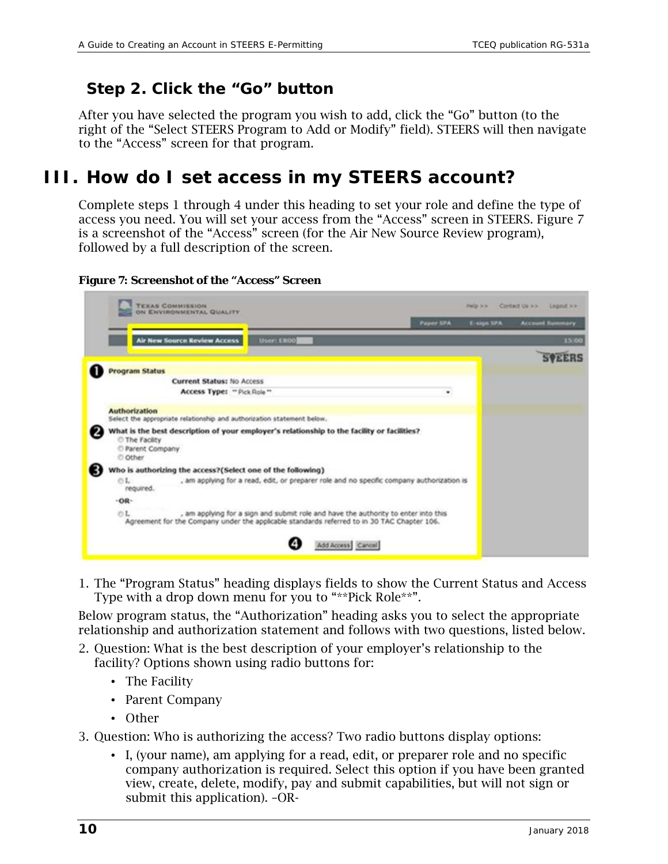## *Step 2. Click the "Go" button*

After you have selected the program you wish to add, click the "Go" button (to the right of the "Select STEERS Program to Add or Modify" field). STEERS will then navigate to the "Access" screen for that program.

## <span id="page-9-0"></span>**III. How do I set access in my STEERS account?**

Complete steps 1 through 4 under this heading to set your role and define the type of access you need. You will set your access from the "Access" screen in STEERS. Figure 7 is a screenshot of the "Access" screen (for the Air New Source Review program), followed by a full description of the screen.

**Figure 7: Screenshot of the "Access" Screen**

| <b>TEXAS COMMISSION</b><br>ON ENVIRONMENTAL QUALITY                                                                                                                                                                                        |                   |                   |                  |   | Platin 3-3- | Contact Us are: Logout are |               |
|--------------------------------------------------------------------------------------------------------------------------------------------------------------------------------------------------------------------------------------------|-------------------|-------------------|------------------|---|-------------|----------------------------|---------------|
|                                                                                                                                                                                                                                            |                   |                   | <b>Paper SPA</b> |   | E-sign SPA  | <b>Account Summary</b>     |               |
| <b>Air New Source Review Access</b>                                                                                                                                                                                                        | <b>User: ER00</b> |                   |                  |   |             |                            | 15:00         |
|                                                                                                                                                                                                                                            |                   |                   |                  |   |             |                            | <b>SVEERS</b> |
| <b>Program Status</b>                                                                                                                                                                                                                      |                   |                   |                  |   |             |                            |               |
| <b>Current Status: No Access</b>                                                                                                                                                                                                           |                   |                   |                  |   |             |                            |               |
| Access Type: "Pick Role"                                                                                                                                                                                                                   |                   |                   |                  | ٠ |             |                            |               |
| <b>Authorization</b><br>Select the appropriate relationship and authorization statement below.<br>What is the best description of your employer's relationship to the facility or facilities?<br>The Facility<br>Parent Company<br>© Other |                   |                   |                  |   |             |                            |               |
| Who is authorizing the access?(Select one of the following)                                                                                                                                                                                |                   |                   |                  |   |             |                            |               |
| OL<br>, am applying for a read, edit, or preparer role and no specific company authorization is<br>required.                                                                                                                               |                   |                   |                  |   |             |                            |               |
| $-OR-$                                                                                                                                                                                                                                     |                   |                   |                  |   |             |                            |               |
| OL.<br>, am applying for a sign and submit role and have the authority to enter into this<br>Agreement for the Company under the applicable standards referred to in 30 TAC Chapter 106.                                                   |                   |                   |                  |   |             |                            |               |
|                                                                                                                                                                                                                                            |                   | Add Access Cancel |                  |   |             |                            |               |

1. The "Program Status" heading displays fields to show the Current Status and Access Type with a drop down menu for you to "\*\*Pick Role\*\*".

Below program status, the "Authorization" heading asks you to select the appropriate relationship and authorization statement and follows with two questions, listed below.

- 2. Question: What is the best description of your employer's relationship to the facility? Options shown using radio buttons for:
	- The Facility
	- Parent Company
	- Other
- 3. Question: Who is authorizing the access? Two radio buttons display options:
	- I, (your name), am applying for a read, edit, or preparer role and no specific company authorization is required. Select this option if you have been granted view, create, delete, modify, pay and submit capabilities, but will not sign or submit this application). –OR-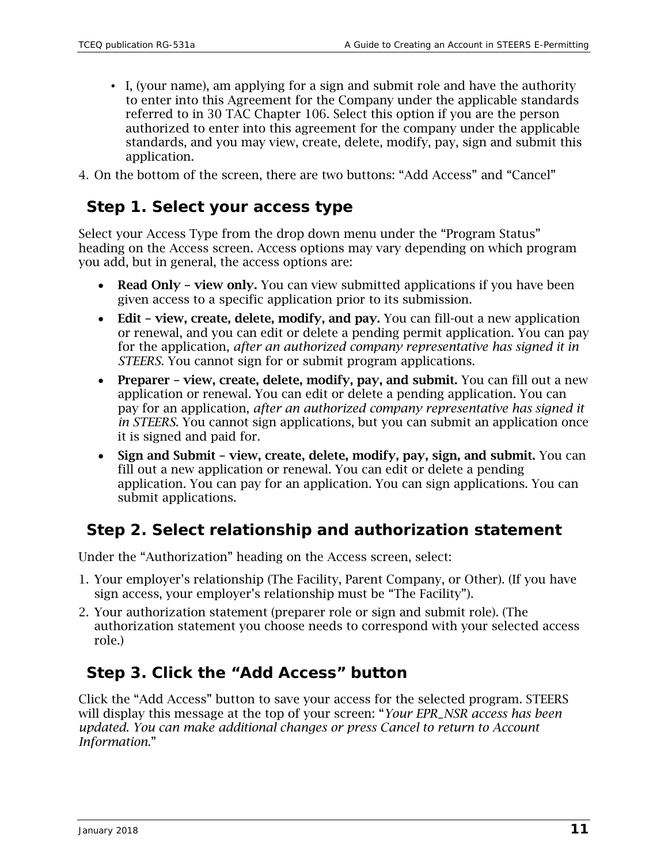• I, (your name), am applying for a sign and submit role and have the authority to enter into this Agreement for the Company under the applicable standards referred to in 30 TAC Chapter 106. Select this option if you are the person authorized to enter into this agreement for the company under the applicable standards, and you may view, create, delete, modify, pay, sign and submit this application.

4. On the bottom of the screen, there are two buttons: "Add Access" and "Cancel"

## *Step 1. Select your access type*

Select your Access Type from the drop down menu under the "Program Status" heading on the Access screen. Access options may vary depending on which program you add, but in general, the access options are:

- Read Only view only. You can view submitted applications if you have been given access to a specific application prior to its submission.
- Edit view, create, delete, modify, and pay. You can fill-out a new application or renewal, and you can edit or delete a pending permit application. You can pay for the application, *after an authorized company representative has signed it in STEERS*. You cannot sign for or submit program applications.
- Preparer view, create, delete, modify, pay, and submit. You can fill out a new application or renewal. You can edit or delete a pending application. You can pay for an application, *after an authorized company representative has signed it in STEERS*. You cannot sign applications, but you can submit an application once it is signed and paid for.
- Sign and Submit view, create, delete, modify, pay, sign, and submit. You can fill out a new application or renewal. You can edit or delete a pending application. You can pay for an application. You can sign applications. You can submit applications.

## *Step 2. Select relationship and authorization statement*

Under the "Authorization" heading on the Access screen, select:

- 1. Your employer's relationship (The Facility, Parent Company, or Other). (If you have sign access, your employer's relationship must be "The Facility").
- 2. Your authorization statement (preparer role or sign and submit role). (The authorization statement you choose needs to correspond with your selected access role.)

## *Step 3. Click the "Add Access" button*

Click the "Add Access" button to save your access for the selected program. STEERS will display this message at the top of your screen: "*Your EPR\_NSR access has been updated. You can make additional changes or press Cancel to return to Account Information.*"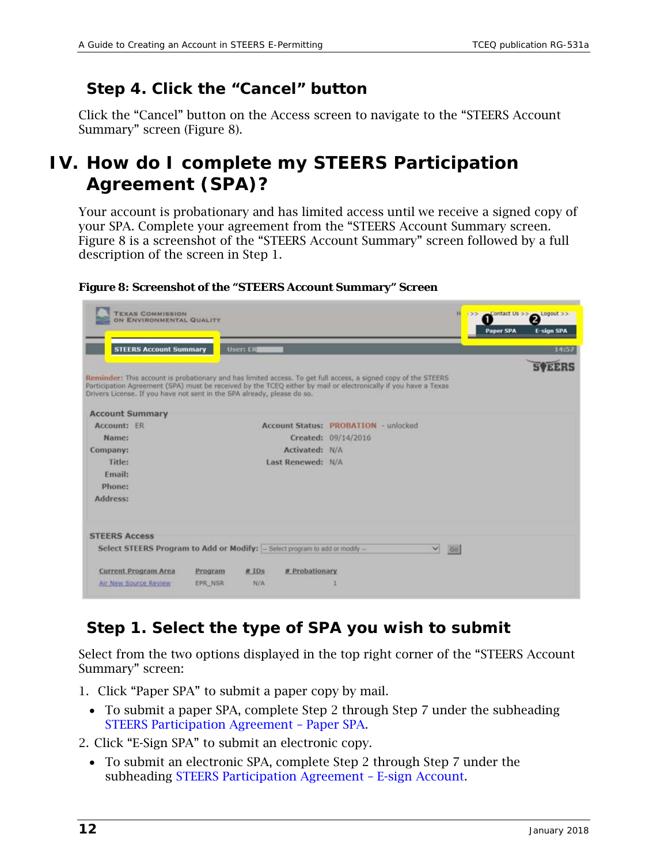## *Step 4. Click the "Cancel" button*

Click the "Cancel" button on the Access screen to navigate to the "STEERS Account Summary" screen (Figure 8).

## <span id="page-11-0"></span>**IV. How do I complete my STEERS Participation Agreement (SPA)?**

Your account is probationary and has limited access until we receive a signed copy of your SPA. Complete your agreement from the "STEERS Account Summary screen. Figure 8 is a screenshot of the "STEERS Account Summary" screen followed by a full description of the screen in Step 1.

| <b>TEXAS COMMISSION</b><br>ON ENVIRONMENTAL QUALITY                     |                                                                              | н                                                                                                                                                                                                                                 | Contact Us >> Logout >><br>133<br>12<br><b>Paper SPA</b><br><b>E-sign SPA</b> |
|-------------------------------------------------------------------------|------------------------------------------------------------------------------|-----------------------------------------------------------------------------------------------------------------------------------------------------------------------------------------------------------------------------------|-------------------------------------------------------------------------------|
| <b>STEERS Account Summary</b>                                           | <b>User: ERI</b>                                                             |                                                                                                                                                                                                                                   | 14:57                                                                         |
|                                                                         |                                                                              |                                                                                                                                                                                                                                   |                                                                               |
| Drivers License. If you have not sent in the SPA already, please do so. |                                                                              | Reminder: This account is probationary and has limited access. To get full access, a signed copy of the STEERS<br>Participation Agreement (SPA) must be received by the TCEQ either by mail or electronically if you have a Texas |                                                                               |
| <b>Account Summary</b>                                                  |                                                                              |                                                                                                                                                                                                                                   |                                                                               |
| Account: ER                                                             |                                                                              | <b>Account Status: PROBATION - unlocked</b>                                                                                                                                                                                       |                                                                               |
| Name:                                                                   |                                                                              | Created: 09/14/2016                                                                                                                                                                                                               |                                                                               |
| Company:                                                                | Activated: N/A                                                               |                                                                                                                                                                                                                                   |                                                                               |
| Title:                                                                  | Last Renewed: N/A                                                            |                                                                                                                                                                                                                                   |                                                                               |
| Email:                                                                  |                                                                              |                                                                                                                                                                                                                                   |                                                                               |
| Phone:                                                                  |                                                                              |                                                                                                                                                                                                                                   |                                                                               |
| Address:                                                                |                                                                              |                                                                                                                                                                                                                                   |                                                                               |
| <b>STEERS Access</b>                                                    |                                                                              |                                                                                                                                                                                                                                   |                                                                               |
|                                                                         | Select STEERS Program to Add or Modify: - Select program to add or modify -- | ⊻<br>Go                                                                                                                                                                                                                           |                                                                               |
| <b>Current Program Area</b>                                             | # Probationary<br>Program<br># IDs                                           |                                                                                                                                                                                                                                   |                                                                               |
| Air New Source Review                                                   | <b>N/A</b><br>EPR NSR                                                        |                                                                                                                                                                                                                                   |                                                                               |
|                                                                         |                                                                              |                                                                                                                                                                                                                                   |                                                                               |

**Figure 8: Screenshot of the "STEERS Account Summary" Screen**

## *Step 1. Select the type of SPA you wish to submit*

Select from the two options displayed in the top right corner of the "STEERS Account Summary" screen:

- 1. Click "Paper SPA" to submit a paper copy by mail.
	- To submit a paper SPA, complete Step 2 through Step 7 under the subheading [STEERS Participation Agreement –](#page-12-0) Paper SPA.

2. Click "E-Sign SPA" to submit an electronic copy.

• To submit an electronic SPA, complete Step 2 through Step 7 under the subheading [STEERS Participation Agreement –](#page-14-0) E-sign Account.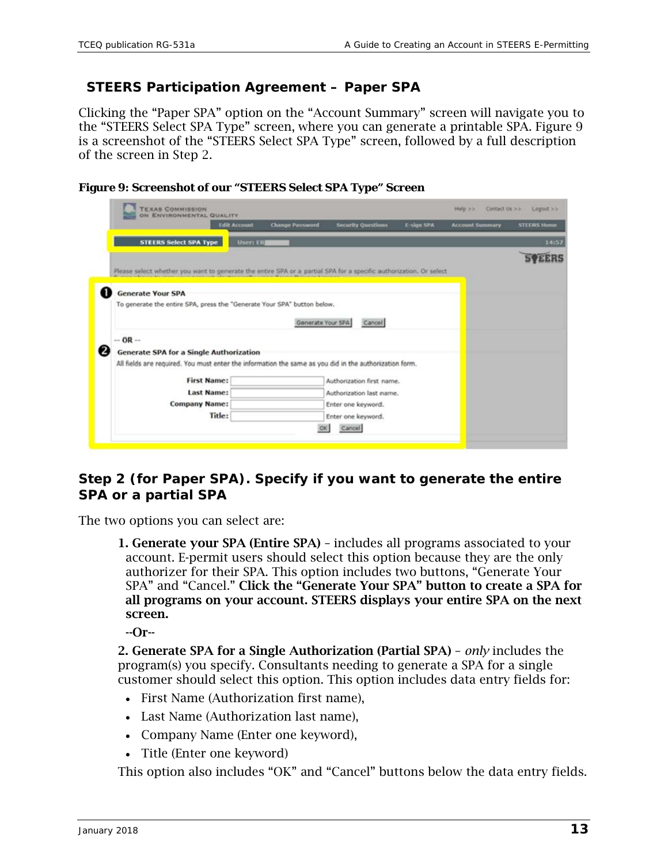#### <span id="page-12-0"></span>**STEERS Participation Agreement – Paper SPA**

Clicking the "Paper SPA" option on the "Account Summary" screen will navigate you to the "STEERS Select SPA Type" screen, where you can generate a printable SPA. Figure 9 is a screenshot of the "STEERS Select SPA Type" screen, followed by a full description of the screen in Step 2.





#### **Step 2 (for Paper SPA). Specify if you want to generate the entire SPA or a partial SPA**

The two options you can select are:

1. Generate your SPA (Entire SPA) – includes all programs associated to your account. E-permit users should select this option because they are the only authorizer for their SPA. This option includes two buttons, "Generate Your SPA" and "Cancel." Click the "Generate Your SPA" button to create a SPA for all programs on your account. STEERS displays your entire SPA on the next screen.

--Or--

2. Generate SPA for a Single Authorization (Partial SPA) – *only* includes the program(s) you specify. Consultants needing to generate a SPA for a single customer should select this option. This option includes data entry fields for:

- First Name (Authorization first name),
- Last Name (Authorization last name).
- Company Name (Enter one keyword),
- Title (Enter one keyword)

This option also includes "OK" and "Cancel" buttons below the data entry fields.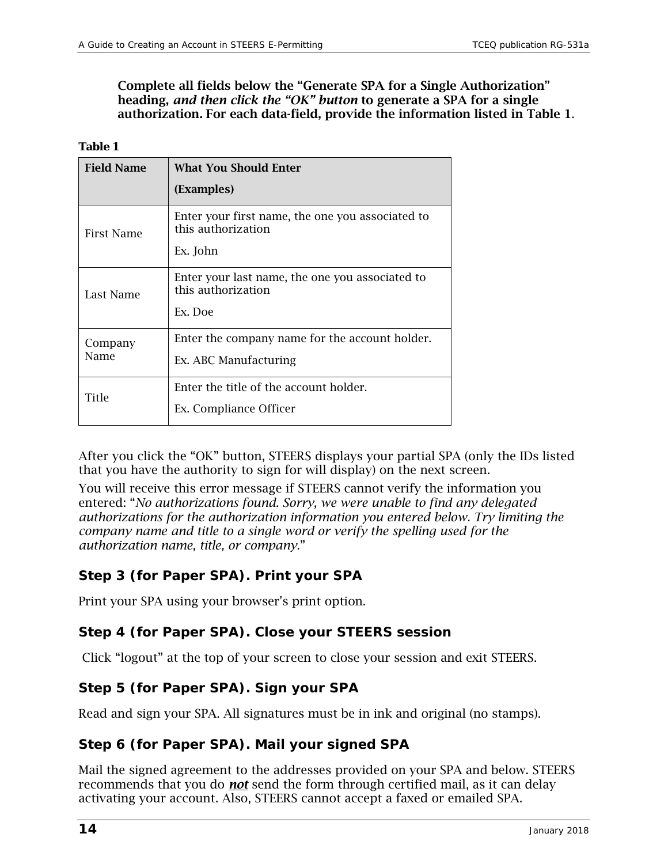Complete all fields below the "Generate SPA for a Single Authorization" heading, *and then click the "OK" button* to generate a SPA for a single authorization*.* For each data-field, provide the information listed in Table 1.

#### **Table 1**

| <b>Field Name</b> | <b>What You Should Enter</b>                                                       |
|-------------------|------------------------------------------------------------------------------------|
|                   | (Examples)                                                                         |
| First Name        | Enter your first name, the one you associated to<br>this authorization<br>Ex. John |
|                   |                                                                                    |
| Last Name         | Enter your last name, the one you associated to<br>this authorization<br>Ex. Doe   |
| Company<br>Name   | Enter the company name for the account holder.<br>Ex. ABC Manufacturing            |
| Title             | Enter the title of the account holder.<br>Ex. Compliance Officer                   |

After you click the "OK" button, STEERS displays your partial SPA (only the IDs listed that you have the authority to sign for will display) on the next screen.

You will receive this error message if STEERS cannot verify the information you entered: "*No authorizations found. Sorry, we were unable to find any delegated authorizations for the authorization information you entered below. Try limiting the company name and title to a single word or verify the spelling used for the authorization name, title, or company.*"

#### **Step 3 (for Paper SPA). Print your SPA**

Print your SPA using your browser's print option.

#### **Step 4 (for Paper SPA). Close your STEERS session**

Click "logout" at the top of your screen to close your session and exit STEERS.

#### **Step 5 (for Paper SPA). Sign your SPA**

Read and sign your SPA. All signatures must be in ink and original (no stamps).

#### **Step 6 (for Paper SPA). Mail your signed SPA**

Mail the signed agreement to the addresses provided on your SPA and below. STEERS recommends that you do *not* send the form through certified mail, as it can delay activating your account. Also, STEERS cannot accept a faxed or emailed SPA.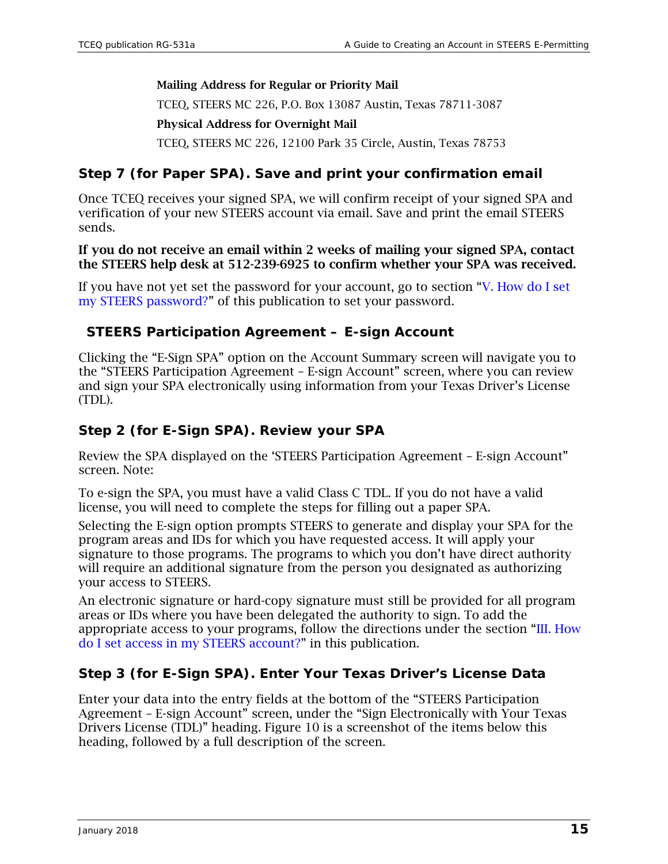#### Mailing Address for Regular or Priority Mail

TCEQ, STEERS MC 226, P.O. Box 13087 Austin, Texas 78711-3087 Physical Address for Overnight Mail TCEQ, STEERS MC 226, 12100 Park 35 Circle, Austin, Texas 78753

#### **Step 7 (for Paper SPA). Save and print your confirmation email**

Once TCEQ receives your signed SPA, we will confirm receipt of your signed SPA and verification of your new STEERS account via email. Save and print the email STEERS sends.

#### If you do not receive an email within 2 weeks of mailing your signed SPA, contact the STEERS help desk at 512-239-6925 to confirm whether your SPA was received.

If you have not yet set the password for your account, go to section ["V. How do I set](#page-16-0)  [my STEERS password?"](#page-16-0) of this publication to set your password.

#### <span id="page-14-0"></span>**STEERS Participation Agreement – E-sign Account**

Clicking the "E-Sign SPA" option on the Account Summary screen will navigate you to the "STEERS Participation Agreement – E-sign Account" screen, where you can review and sign your SPA electronically using information from your Texas Driver's License (TDL).

#### **Step 2 (for E-Sign SPA). Review your SPA**

Review the SPA displayed on the 'STEERS Participation Agreement – E-sign Account" screen. Note:

To e-sign the SPA, you must have a valid Class C TDL. If you do not have a valid license, you will need to complete the steps for filling out a paper SPA.

Selecting the E-sign option prompts STEERS to generate and display your SPA for the program areas and IDs for which you have requested access. It will apply your signature to those programs. The programs to which you don't have direct authority will require an additional signature from the person you designated as authorizing your access to STEERS.

An electronic signature or hard-copy signature must still be provided for all program areas or IDs where you have been delegated the authority to sign. To add the appropriate access to your programs, follow the directions under the section ["III. How](#page-9-0)  [do I set access in my STEERS account?"](#page-9-0) in this publication.

#### **Step 3 (for E-Sign SPA). Enter Your Texas Driver's License Data**

Enter your data into the entry fields at the bottom of the "STEERS Participation Agreement – E-sign Account" screen, under the "Sign Electronically with Your Texas Drivers License (TDL)" heading. Figure 10 is a screenshot of the items below this heading, followed by a full description of the screen.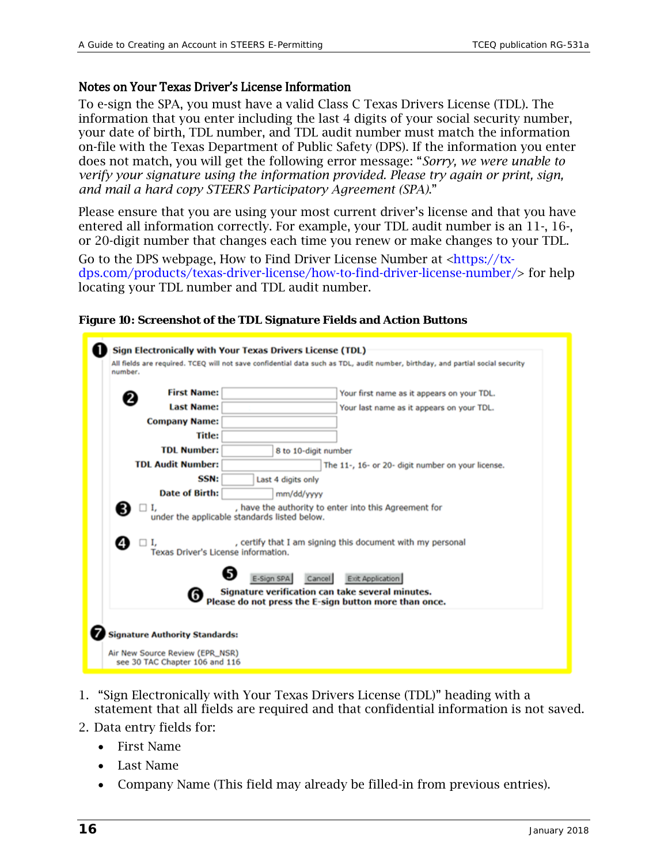#### Notes on Your Texas Driver's License Information

To e-sign the SPA, you must have a valid Class C Texas Drivers License (TDL). The information that you enter including the last 4 digits of your social security number, your date of birth, TDL number, and TDL audit number must match the information on-file with the Texas Department of Public Safety (DPS). If the information you enter does not match, you will get the following error message: "*Sorry, we were unable to verify your signature using the information provided. Please try again or print, sign, and mail a hard copy STEERS Participatory Agreement (SPA)*."

Please ensure that you are using your most current driver's license and that you have entered all information correctly. For example, your TDL audit number is an 11-, 16-, or 20-digit number that changes each time you renew or make changes to your TDL.

Go to the DPS webpage, How to Find Driver License Number at [<https://tx](https://tx-dps.com/products/texas-driver-license/how-to-find-driver-license-number/)[dps.com/products/texas-driver-license/how-to-find-driver-license-number/>](https://tx-dps.com/products/texas-driver-license/how-to-find-driver-license-number/) for help locating your TDL number and TDL audit number.

| <b>First Name:</b>                  | Your first name as it appears on your TDL.                                                                                                                          |
|-------------------------------------|---------------------------------------------------------------------------------------------------------------------------------------------------------------------|
| <b>Last Name:</b>                   | Your last name as it appears on your TDL.                                                                                                                           |
| <b>Company Name:</b>                |                                                                                                                                                                     |
| <b>Title:</b>                       |                                                                                                                                                                     |
| <b>TDL Number:</b>                  | 8 to 10-digit number                                                                                                                                                |
| <b>TDL Audit Number:</b>            | The 11-, 16- or 20- digit number on your license.                                                                                                                   |
| SSN:                                | Last 4 digits only                                                                                                                                                  |
| Date of Birth:                      | mm/dd/yyyy                                                                                                                                                          |
| ❸<br>Ι.<br>❹<br>Ι.                  | , have the authority to enter into this Agreement for<br>under the applicable standards listed below.<br>, certify that I am signing this document with my personal |
| Texas Driver's License information. |                                                                                                                                                                     |
|                                     | Exit Application<br>Cancel<br>Signature verification can take several minutes.                                                                                      |

**Figure 10: Screenshot of the TDL Signature Fields and Action Buttons**

- 1. "Sign Electronically with Your Texas Drivers License (TDL)" heading with a statement that all fields are required and that confidential information is not saved.
- 2. Data entry fields for:
	- First Name
	- Last Name
	- Company Name (This field may already be filled-in from previous entries).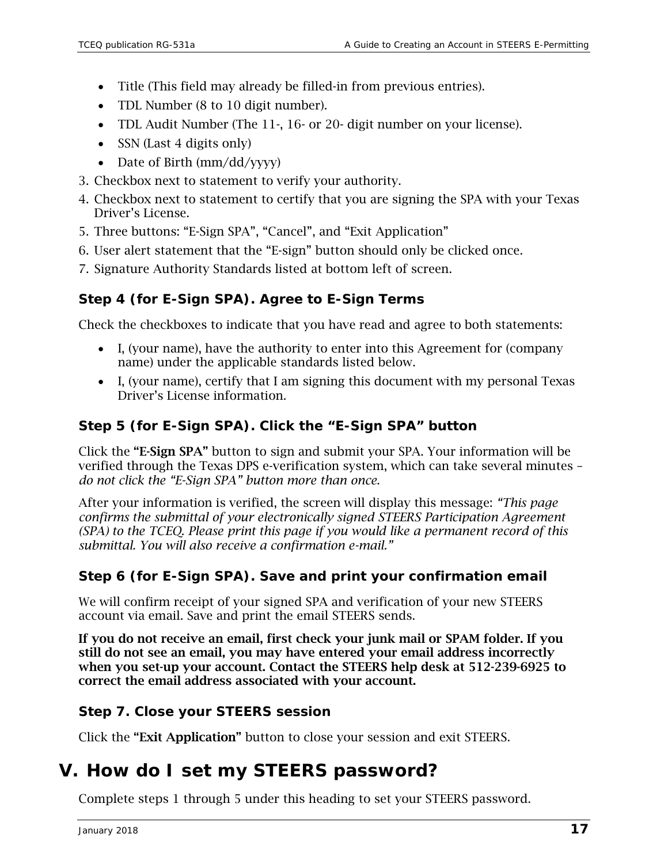- Title (This field may already be filled-in from previous entries).
- TDL Number (8 to 10 digit number).
- TDL Audit Number (The 11-, 16- or 20- digit number on your license).
- SSN (Last 4 digits only)
- Date of Birth (mm/dd/yyyy)
- 3. Checkbox next to statement to verify your authority.
- 4. Checkbox next to statement to certify that you are signing the SPA with your Texas Driver's License.
- 5. Three buttons: "E-Sign SPA", "Cancel", and "Exit Application"
- 6. User alert statement that the "E-sign" button should only be clicked once.
- 7. Signature Authority Standards listed at bottom left of screen.

#### **Step 4 (for E-Sign SPA). Agree to E-Sign Terms**

Check the checkboxes to indicate that you have read and agree to both statements:

- I, (your name), have the authority to enter into this Agreement for (company name) under the applicable standards listed below.
- I, (your name), certify that I am signing this document with my personal Texas Driver's License information.

#### **Step 5 (for E-Sign SPA). Click the "E-Sign SPA" button**

Click the "E-Sign SPA" button to sign and submit your SPA. Your information will be verified through the Texas DPS e-verification system, which can take several minutes – *do not click the "E-Sign SPA" button more than once*.

After your information is verified, the screen will display this message: *"This page confirms the submittal of your electronically signed STEERS Participation Agreement (SPA) to the TCEQ. Please print this page if you would like a permanent record of this submittal. You will also receive a confirmation e-mail."*

#### **Step 6 (for E-Sign SPA). Save and print your confirmation email**

We will confirm receipt of your signed SPA and verification of your new STEERS account via email. Save and print the email STEERS sends.

If you do not receive an email, first check your junk mail or SPAM folder. If you still do not see an email, you may have entered your email address incorrectly when you set-up your account. Contact the STEERS help desk at 512-239-6925 to correct the email address associated with your account.

#### **Step 7. Close your STEERS session**

Click the "Exit Application" button to close your session and exit STEERS.

## <span id="page-16-0"></span>**V. How do I set my STEERS password?**

Complete steps 1 through 5 under this heading to set your STEERS password.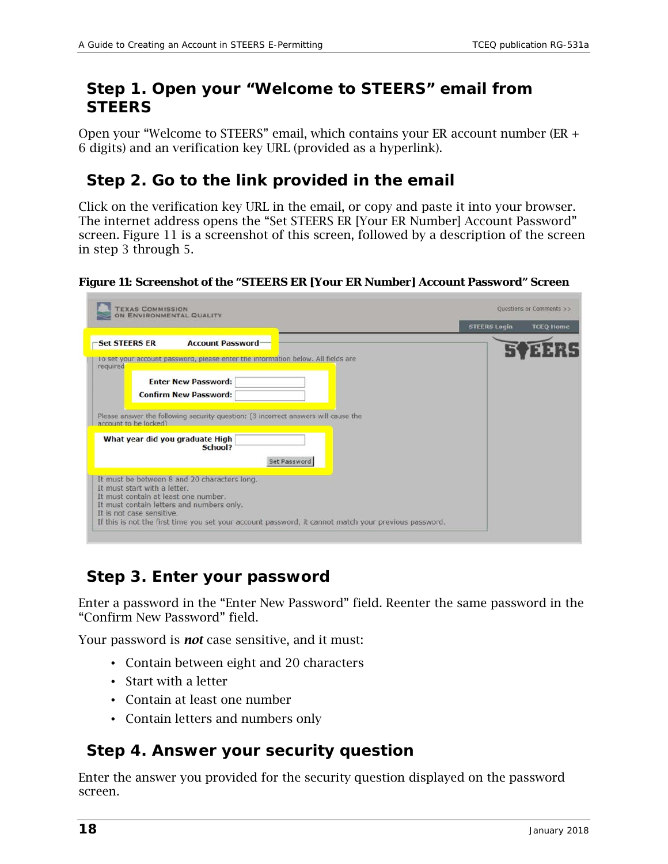## *Step 1. Open your "Welcome to STEERS" email from STEERS*

Open your "Welcome to STEERS" email, which contains your ER account number (ER + 6 digits) and an verification key URL (provided as a hyperlink).

## *Step 2. Go to the link provided in the email*

Click on the verification key URL in the email, or copy and paste it into your browser. The internet address opens the "Set STEERS ER [Your ER Number] Account Password" screen. Figure 11 is a screenshot of this screen, followed by a description of the screen in step 3 through 5.

**Figure 11: Screenshot of the "STEERS ER [Your ER Number] Account Password" Screen**

| <b>TEXAS COMMISSION</b><br>ON ENVIRONMENTAL QUALITY                                                                                                                                            |                     | Questions or Comments >> |
|------------------------------------------------------------------------------------------------------------------------------------------------------------------------------------------------|---------------------|--------------------------|
|                                                                                                                                                                                                | <b>STEERS Login</b> | <b>TCEQ Home</b>         |
| <b>Account Password</b><br><b>Set STEERS ER</b><br>To set your account password, please enter the information below. All fields are<br>required                                                |                     |                          |
| <b>Enter New Password:</b><br><b>Confirm New Password:</b>                                                                                                                                     |                     |                          |
| Please answer the following security question: (3 incorrect answers will cause the<br>account to be locked)                                                                                    |                     |                          |
| What year did you graduate High<br>School?<br>Set Password                                                                                                                                     |                     |                          |
| It must be between 8 and 20 characters long.<br>It must start with a letter.<br>It must contain at least one number.<br>It must contain letters and numbers only.<br>It is not case sensitive. |                     |                          |

## *Step 3. Enter your password*

Enter a password in the "Enter New Password" field. Reenter the same password in the "Confirm New Password" field.

Your password is *not* case sensitive, and it must:

- Contain between eight and 20 characters
- Start with a letter
- Contain at least one number
- Contain letters and numbers only

## *Step 4. Answer your security question*

Enter the answer you provided for the security question displayed on the password screen.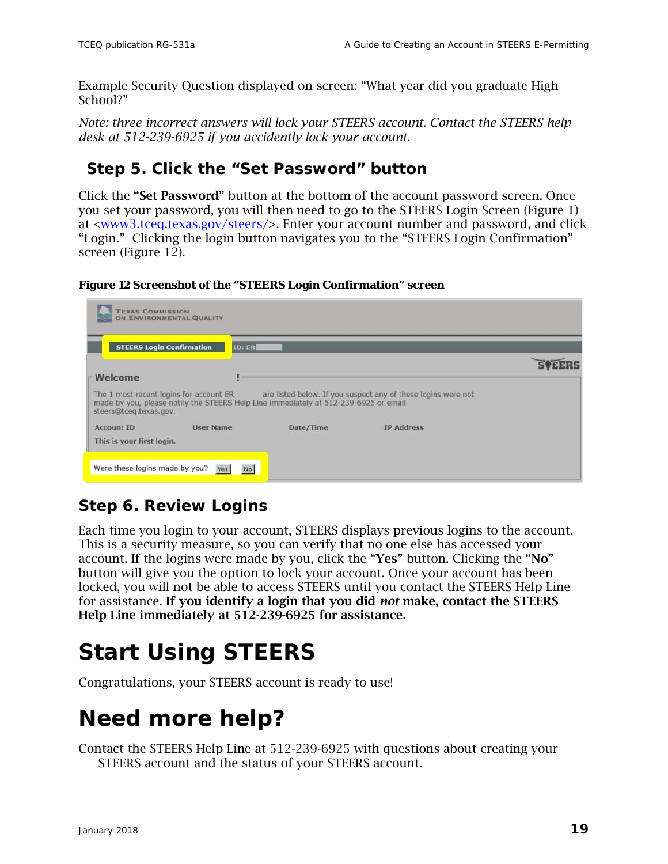Example Security Question displayed on screen: "What year did you graduate High School?"

*Note: three incorrect answers will lock your STEERS account. Contact the STEERS help desk at 512-239-6925 if you accidently lock your account.*

## *Step 5. Click the "Set Password" button*

Click the "Set Password" button at the bottom of the account password screen. Once you set your password, you will then need to go to the STEERS Login Screen (Figure 1) at [<www3.tceq.texas.gov/steers/>](https://www3.tceq.texas.gov/steers/). Enter your account number and password, and click "Login." Clicking the login button navigates you to the "STEERS Login Confirmation" screen (Figure 12).

**Figure 12 Screenshot of the "STEERS Login Confirmation" screen** 

|                        | <b>STEERS Login Confirmation</b><br><b>ID: ER</b>                                                                               |           |                                                               |  |
|------------------------|---------------------------------------------------------------------------------------------------------------------------------|-----------|---------------------------------------------------------------|--|
|                        |                                                                                                                                 |           |                                                               |  |
| Welcome                |                                                                                                                                 |           |                                                               |  |
|                        |                                                                                                                                 |           |                                                               |  |
| steers@tceg.texas.gov. | The 1 most recent logins for account ER<br>made by you, please notify the STEERS Help Line immediately at 512-239-6925 or email |           | are listed below. If you suspect any of these logins were not |  |
| <b>Account ID</b>      | <b>User Name</b>                                                                                                                | Date/Time | <b>IP Address</b>                                             |  |

## *Step 6. Review Logins*

Each time you login to your account, STEERS displays previous logins to the account. This is a security measure, so you can verify that no one else has accessed your account. If the logins were made by you, click the "Yes" button. Clicking the "No" button will give you the option to lock your account. Once your account has been locked, you will not be able to access STEERS until you contact the STEERS Help Line for assistance. If you identify a login that you did *not* make, contact the STEERS Help Line immediately at 512-239-6925 for assistance.

# **Start Using STEERS**

Congratulations, your STEERS account is ready to use!

# **Need more help?**

Contact the STEERS Help Line at 512-239-6925 with questions about creating your STEERS account and the status of your STEERS account.